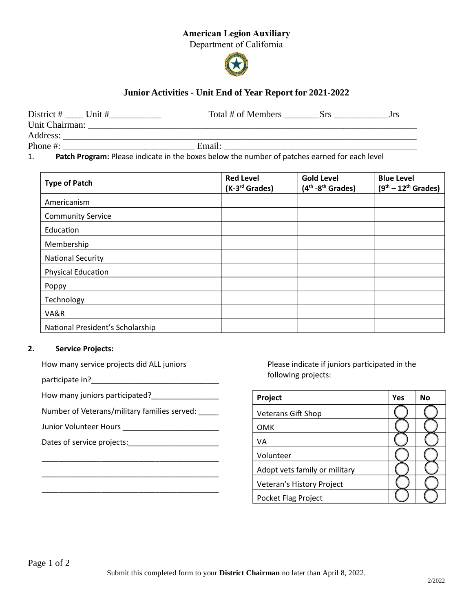## American Legion Auxiliary

Department of California



# Junior Activities - Unit End of Year Report for 2021-2022

| District # Unit #                                                                                   |  | Total # of Members | <b>Srs</b> | Jrs. |
|-----------------------------------------------------------------------------------------------------|--|--------------------|------------|------|
| Unit Chairman:                                                                                      |  |                    |            |      |
| Address:                                                                                            |  |                    |            |      |
| Phone #:                                                                                            |  | Email:             |            |      |
| Patch Program: Please indicate in the boxes below the number of patches earned for each level<br>1. |  |                    |            |      |

| <b>Type of Patch</b>             | <b>Red Level</b><br>(K-3 <sup>rd</sup> Grades) | <b>Gold Level</b><br>$(4th - 8th$ Grades) | <b>Blue Level</b><br>$(9th - 12th$ Grades) |
|----------------------------------|------------------------------------------------|-------------------------------------------|--------------------------------------------|
| Americanism                      |                                                |                                           |                                            |
| <b>Community Service</b>         |                                                |                                           |                                            |
| Education                        |                                                |                                           |                                            |
| Membership                       |                                                |                                           |                                            |
| <b>National Security</b>         |                                                |                                           |                                            |
| Physical Education               |                                                |                                           |                                            |
| Poppy                            |                                                |                                           |                                            |
| Technology                       |                                                |                                           |                                            |
| VA&R                             |                                                |                                           |                                            |
| National President's Scholarship |                                                |                                           |                                            |

### 2. Service Projects:

| How many service projects did ALL juniors              |           |
|--------------------------------------------------------|-----------|
| participate in?_______________                         |           |
|                                                        | Pro       |
| Number of Veterans/military families served:           | Vet       |
| Junior Volunteer Hours <b>National Property Act 10</b> | <b>OM</b> |
|                                                        | VA        |
|                                                        | Vol       |
|                                                        | Ado       |
|                                                        | Vet       |
|                                                        |           |

Please indicate if juniors participated in the following projects:

| Project                       | Yes | No |
|-------------------------------|-----|----|
| <b>Veterans Gift Shop</b>     |     |    |
| OMK                           |     |    |
| ٧A                            |     |    |
| Volunteer                     |     |    |
| Adopt vets family or military |     |    |
| Veteran's History Project     |     |    |
| Pocket Flag Project           |     |    |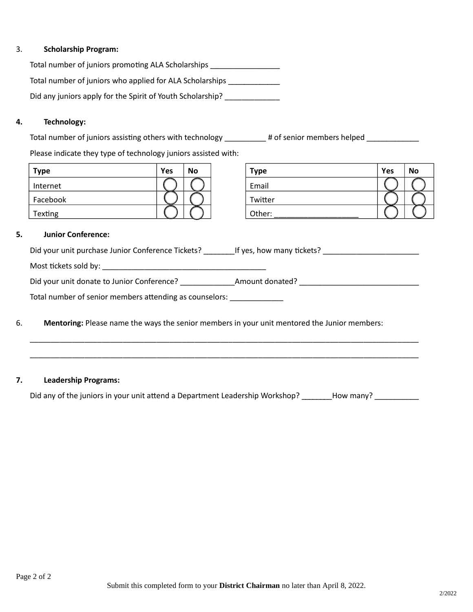#### 3. Scholarship Program:

Total number of juniors promoting ALA Scholarships \_\_\_\_\_\_\_\_\_\_\_\_\_\_\_\_\_\_\_\_\_\_\_\_\_\_\_\_\_ Total number of juniors who applied for ALA Scholarships \_\_\_\_\_\_\_\_\_\_\_\_ Did any juniors apply for the Spirit of Youth Scholarship? \_\_\_\_\_\_\_\_\_\_\_\_\_

#### 4. Technology:

Total number of juniors assisting others with technology \_\_\_\_\_\_\_\_\_# of senior members helped \_\_\_\_\_\_\_\_\_\_\_\_\_

Please indicate they type of technology juniors assisted with:

| <b>Type</b> | Yes | No | Type    | Yes | <b>No</b> |
|-------------|-----|----|---------|-----|-----------|
| Internet    |     |    | Email   |     |           |
| Facebook    |     |    | Twitter |     |           |
| Texting     |     |    | Other:  |     |           |

| <b>Type</b> | Yes | <b>No</b> |
|-------------|-----|-----------|
| Email       |     |           |
| Twitter     |     |           |
| Other:      |     |           |

#### 5. Junior Conference:

| Did your unit purchase Junior Conference Tickets?       | If yes, how many tickets? |  |  |  |  |
|---------------------------------------------------------|---------------------------|--|--|--|--|
|                                                         |                           |  |  |  |  |
| Did your unit donate to Junior Conference?              | Amount donated?           |  |  |  |  |
| Total number of senior members attending as counselors: |                           |  |  |  |  |
|                                                         |                           |  |  |  |  |

\_\_\_\_\_\_\_\_\_\_\_\_\_\_\_\_\_\_\_\_\_\_\_\_\_\_\_\_\_\_\_\_\_\_\_\_\_\_\_\_\_\_\_\_\_\_\_\_\_\_\_\_\_\_\_\_\_\_\_\_\_\_\_\_\_\_\_\_\_\_\_\_\_\_\_\_\_\_\_\_\_\_\_\_\_\_\_\_\_\_\_\_

\_\_\_\_\_\_\_\_\_\_\_\_\_\_\_\_\_\_\_\_\_\_\_\_\_\_\_\_\_\_\_\_\_\_\_\_\_\_\_\_\_\_\_\_\_\_\_\_\_\_\_\_\_\_\_\_\_\_\_\_\_\_\_\_\_\_\_\_\_\_\_\_\_\_\_\_\_\_\_\_\_\_\_\_\_\_\_\_\_\_\_\_

## 6. Mentoring: Please name the ways the senior members in your unit mentored the Junior members:

#### 7. Leadership Programs:

Did any of the juniors in your unit attend a Department Leadership Workshop? \_\_\_\_\_\_\_How many? \_\_\_\_\_\_\_\_\_\_\_